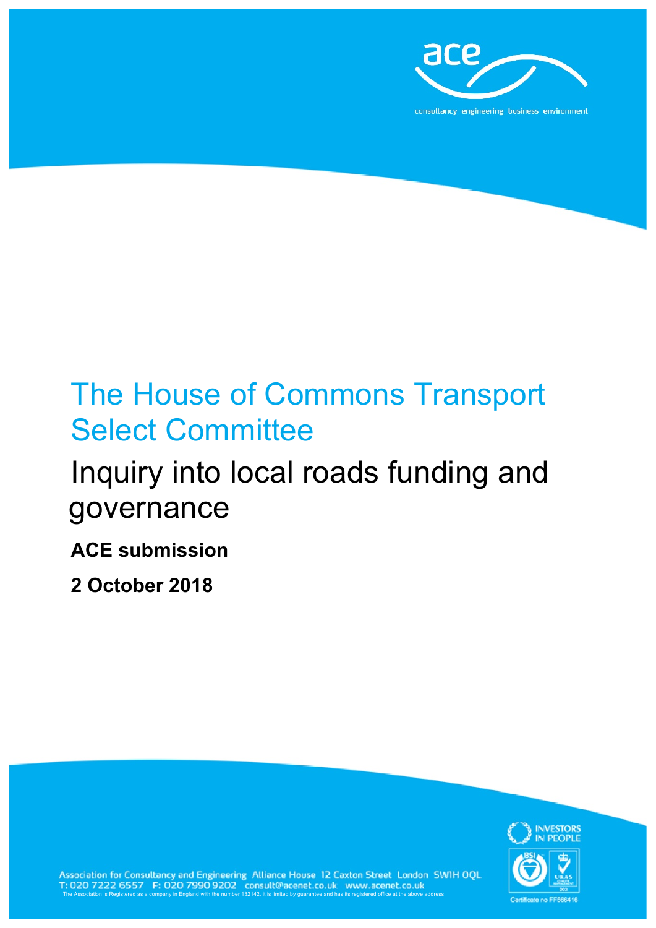

# The House of Commons Transport Select Committee

# Inquiry into local roads funding and governance

## **ACE submission**

**2 October 2018**



Association for Consultancy and Engineering Alliance House 12 Caxton Street London SWIH OQL<br>T: 020 7222 6557 F: 020 7990 9202 consult@acenet.co.uk www.acenet.co.uk<br>The Association is Registered as a company in England with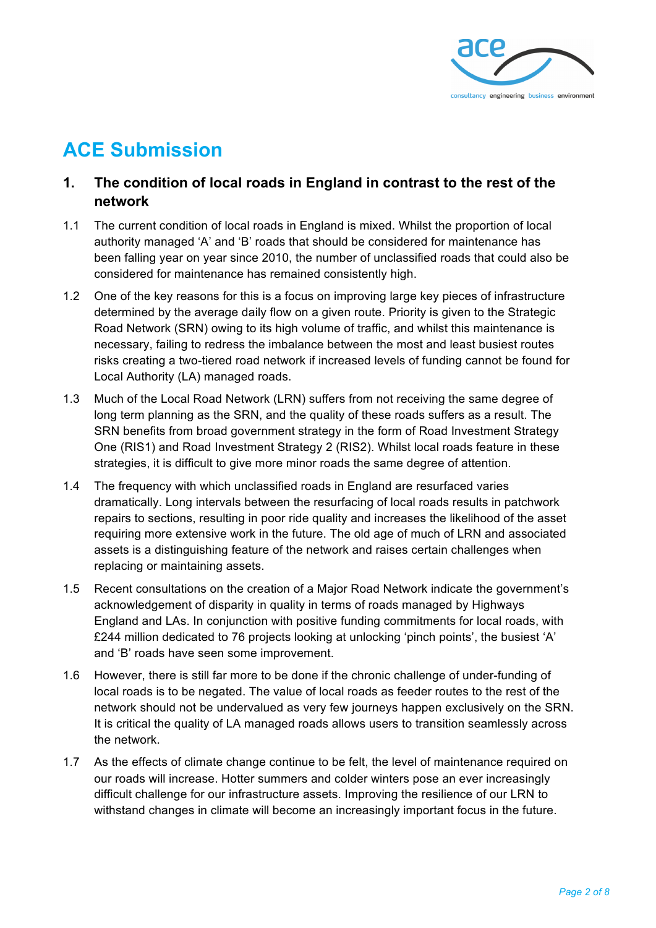

## **ACE Submission**

#### **1. The condition of local roads in England in contrast to the rest of the network**

- 1.1 The current condition of local roads in England is mixed. Whilst the proportion of local authority managed 'A' and 'B' roads that should be considered for maintenance has been falling year on year since 2010, the number of unclassified roads that could also be considered for maintenance has remained consistently high.
- 1.2 One of the key reasons for this is a focus on improving large key pieces of infrastructure determined by the average daily flow on a given route. Priority is given to the Strategic Road Network (SRN) owing to its high volume of traffic, and whilst this maintenance is necessary, failing to redress the imbalance between the most and least busiest routes risks creating a two-tiered road network if increased levels of funding cannot be found for Local Authority (LA) managed roads.
- 1.3 Much of the Local Road Network (LRN) suffers from not receiving the same degree of long term planning as the SRN, and the quality of these roads suffers as a result. The SRN benefits from broad government strategy in the form of Road Investment Strategy One (RIS1) and Road Investment Strategy 2 (RIS2). Whilst local roads feature in these strategies, it is difficult to give more minor roads the same degree of attention.
- 1.4 The frequency with which unclassified roads in England are resurfaced varies dramatically. Long intervals between the resurfacing of local roads results in patchwork repairs to sections, resulting in poor ride quality and increases the likelihood of the asset requiring more extensive work in the future. The old age of much of LRN and associated assets is a distinguishing feature of the network and raises certain challenges when replacing or maintaining assets.
- 1.5 Recent consultations on the creation of a Major Road Network indicate the government's acknowledgement of disparity in quality in terms of roads managed by Highways England and LAs. In conjunction with positive funding commitments for local roads, with £244 million dedicated to 76 projects looking at unlocking 'pinch points', the busiest 'A' and 'B' roads have seen some improvement.
- 1.6 However, there is still far more to be done if the chronic challenge of under-funding of local roads is to be negated. The value of local roads as feeder routes to the rest of the network should not be undervalued as very few journeys happen exclusively on the SRN. It is critical the quality of LA managed roads allows users to transition seamlessly across the network.
- 1.7 As the effects of climate change continue to be felt, the level of maintenance required on our roads will increase. Hotter summers and colder winters pose an ever increasingly difficult challenge for our infrastructure assets. Improving the resilience of our LRN to withstand changes in climate will become an increasingly important focus in the future.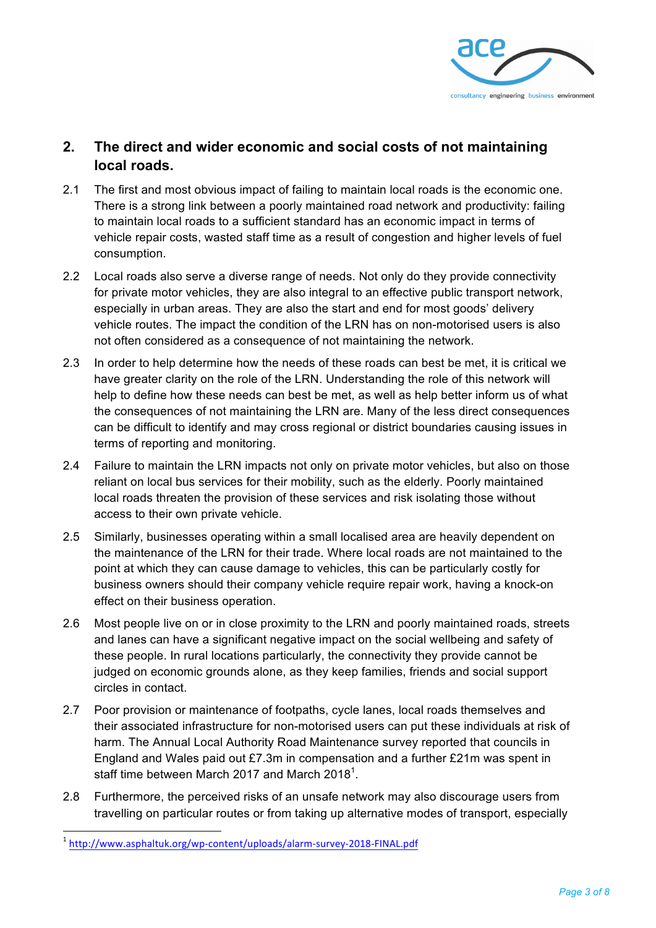

#### **2. The direct and wider economic and social costs of not maintaining local roads.**

- 2.1 The first and most obvious impact of failing to maintain local roads is the economic one. There is a strong link between a poorly maintained road network and productivity: failing to maintain local roads to a sufficient standard has an economic impact in terms of vehicle repair costs, wasted staff time as a result of congestion and higher levels of fuel consumption.
- 2.2 Local roads also serve a diverse range of needs. Not only do they provide connectivity for private motor vehicles, they are also integral to an effective public transport network, especially in urban areas. They are also the start and end for most goods' delivery vehicle routes. The impact the condition of the LRN has on non-motorised users is also not often considered as a consequence of not maintaining the network.
- 2.3 In order to help determine how the needs of these roads can best be met, it is critical we have greater clarity on the role of the LRN. Understanding the role of this network will help to define how these needs can best be met, as well as help better inform us of what the consequences of not maintaining the LRN are. Many of the less direct consequences can be difficult to identify and may cross regional or district boundaries causing issues in terms of reporting and monitoring.
- 2.4 Failure to maintain the LRN impacts not only on private motor vehicles, but also on those reliant on local bus services for their mobility, such as the elderly. Poorly maintained local roads threaten the provision of these services and risk isolating those without access to their own private vehicle.
- 2.5 Similarly, businesses operating within a small localised area are heavily dependent on the maintenance of the LRN for their trade. Where local roads are not maintained to the point at which they can cause damage to vehicles, this can be particularly costly for business owners should their company vehicle require repair work, having a knock-on effect on their business operation.
- 2.6 Most people live on or in close proximity to the LRN and poorly maintained roads, streets and lanes can have a significant negative impact on the social wellbeing and safety of these people. In rural locations particularly, the connectivity they provide cannot be judged on economic grounds alone, as they keep families, friends and social support circles in contact.
- 2.7 Poor provision or maintenance of footpaths, cycle lanes, local roads themselves and their associated infrastructure for non-motorised users can put these individuals at risk of harm. The Annual Local Authority Road Maintenance survey reported that councils in England and Wales paid out £7.3m in compensation and a further £21m was spent in staff time between March 2017 and March 2018<sup>1</sup>.
- 2.8 Furthermore, the perceived risks of an unsafe network may also discourage users from travelling on particular routes or from taking up alternative modes of transport, especially

<sup>1</sup> http://www.asphaltuk.org/wp-content/uploads/alarm-survey-2018-FINAL.pdf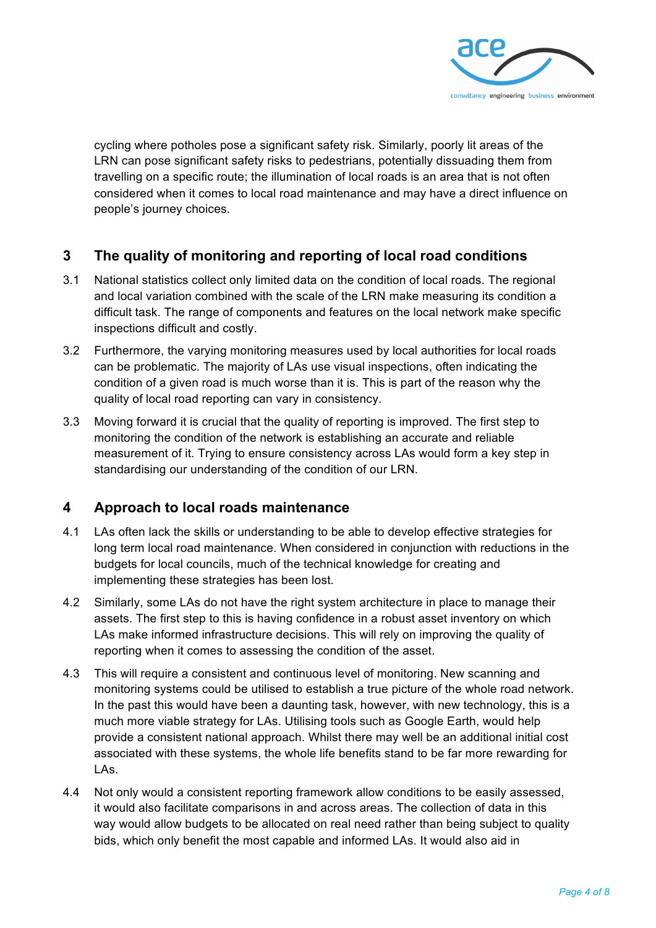

cycling where potholes pose a significant safety risk. Similarly, poorly lit areas of the LRN can pose significant safety risks to pedestrians, potentially dissuading them from travelling on a specific route; the illumination of local roads is an area that is not often considered when it comes to local road maintenance and may have a direct influence on people's journey choices.

#### **3 The quality of monitoring and reporting of local road conditions**

- 3.1 National statistics collect only limited data on the condition of local roads. The regional and local variation combined with the scale of the LRN make measuring its condition a difficult task. The range of components and features on the local network make specific inspections difficult and costly.
- 3.2 Furthermore, the varying monitoring measures used by local authorities for local roads can be problematic. The majority of LAs use visual inspections, often indicating the condition of a given road is much worse than it is. This is part of the reason why the quality of local road reporting can vary in consistency.
- 3.3 Moving forward it is crucial that the quality of reporting is improved. The first step to monitoring the condition of the network is establishing an accurate and reliable measurement of it. Trying to ensure consistency across LAs would form a key step in standardising our understanding of the condition of our LRN.

#### **4 Approach to local roads maintenance**

- 4.1 LAs often lack the skills or understanding to be able to develop effective strategies for long term local road maintenance. When considered in conjunction with reductions in the budgets for local councils, much of the technical knowledge for creating and implementing these strategies has been lost.
- 4.2 Similarly, some LAs do not have the right system architecture in place to manage their assets. The first step to this is having confidence in a robust asset inventory on which LAs make informed infrastructure decisions. This will rely on improving the quality of reporting when it comes to assessing the condition of the asset.
- 4.3 This will require a consistent and continuous level of monitoring. New scanning and monitoring systems could be utilised to establish a true picture of the whole road network. In the past this would have been a daunting task, however, with new technology, this is a much more viable strategy for LAs. Utilising tools such as Google Earth, would help provide a consistent national approach. Whilst there may well be an additional initial cost associated with these systems, the whole life benefits stand to be far more rewarding for LAs.
- 4.4 Not only would a consistent reporting framework allow conditions to be easily assessed, it would also facilitate comparisons in and across areas. The collection of data in this way would allow budgets to be allocated on real need rather than being subject to quality bids, which only benefit the most capable and informed LAs. It would also aid in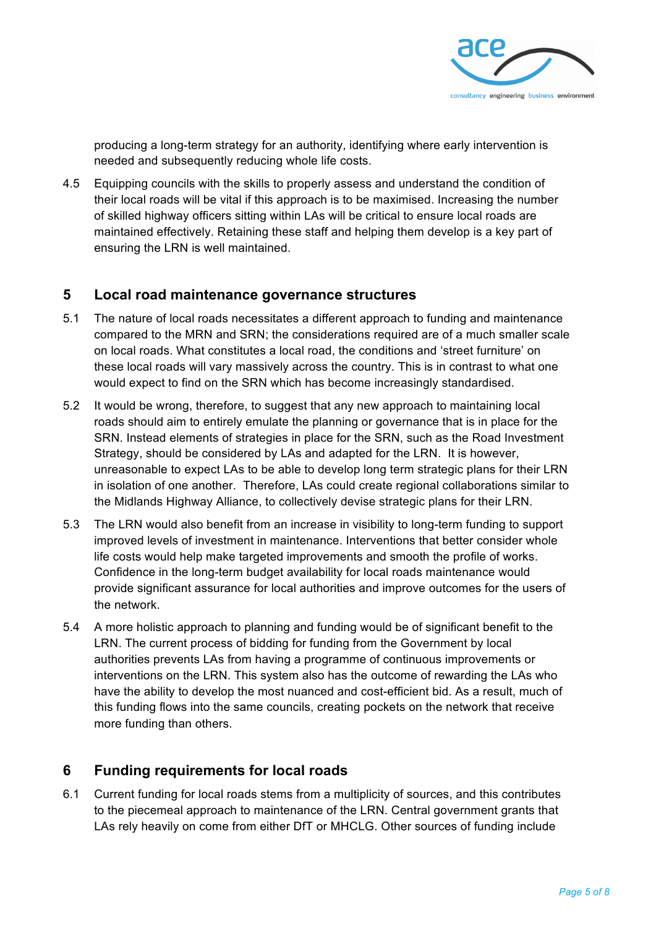

producing a long-term strategy for an authority, identifying where early intervention is needed and subsequently reducing whole life costs.

4.5 Equipping councils with the skills to properly assess and understand the condition of their local roads will be vital if this approach is to be maximised. Increasing the number of skilled highway officers sitting within LAs will be critical to ensure local roads are maintained effectively. Retaining these staff and helping them develop is a key part of ensuring the LRN is well maintained.

#### **5 Local road maintenance governance structures**

- 5.1 The nature of local roads necessitates a different approach to funding and maintenance compared to the MRN and SRN; the considerations required are of a much smaller scale on local roads. What constitutes a local road, the conditions and 'street furniture' on these local roads will vary massively across the country. This is in contrast to what one would expect to find on the SRN which has become increasingly standardised.
- 5.2 It would be wrong, therefore, to suggest that any new approach to maintaining local roads should aim to entirely emulate the planning or governance that is in place for the SRN. Instead elements of strategies in place for the SRN, such as the Road Investment Strategy, should be considered by LAs and adapted for the LRN. It is however, unreasonable to expect LAs to be able to develop long term strategic plans for their LRN in isolation of one another. Therefore, LAs could create regional collaborations similar to the Midlands Highway Alliance, to collectively devise strategic plans for their LRN.
- 5.3 The LRN would also benefit from an increase in visibility to long-term funding to support improved levels of investment in maintenance. Interventions that better consider whole life costs would help make targeted improvements and smooth the profile of works. Confidence in the long-term budget availability for local roads maintenance would provide significant assurance for local authorities and improve outcomes for the users of the network.
- 5.4 A more holistic approach to planning and funding would be of significant benefit to the LRN. The current process of bidding for funding from the Government by local authorities prevents LAs from having a programme of continuous improvements or interventions on the LRN. This system also has the outcome of rewarding the LAs who have the ability to develop the most nuanced and cost-efficient bid. As a result, much of this funding flows into the same councils, creating pockets on the network that receive more funding than others.

#### **6 Funding requirements for local roads**

6.1 Current funding for local roads stems from a multiplicity of sources, and this contributes to the piecemeal approach to maintenance of the LRN. Central government grants that LAs rely heavily on come from either DfT or MHCLG. Other sources of funding include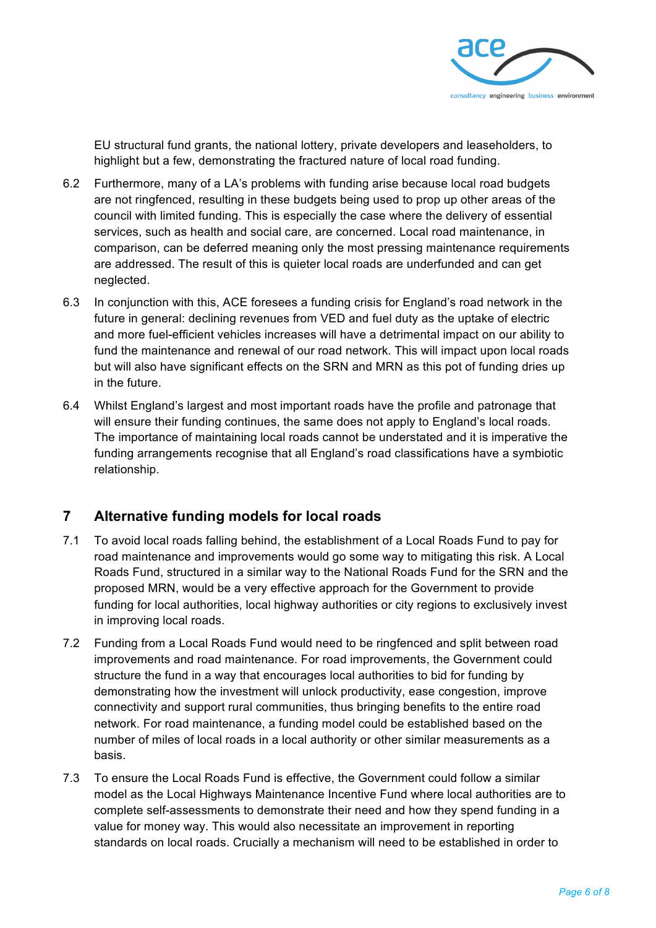

EU structural fund grants, the national lottery, private developers and leaseholders, to highlight but a few, demonstrating the fractured nature of local road funding.

- 6.2 Furthermore, many of a LA's problems with funding arise because local road budgets are not ringfenced, resulting in these budgets being used to prop up other areas of the council with limited funding. This is especially the case where the delivery of essential services, such as health and social care, are concerned. Local road maintenance, in comparison, can be deferred meaning only the most pressing maintenance requirements are addressed. The result of this is quieter local roads are underfunded and can get neglected.
- 6.3 In conjunction with this, ACE foresees a funding crisis for England's road network in the future in general: declining revenues from VED and fuel duty as the uptake of electric and more fuel-efficient vehicles increases will have a detrimental impact on our ability to fund the maintenance and renewal of our road network. This will impact upon local roads but will also have significant effects on the SRN and MRN as this pot of funding dries up in the future.
- 6.4 Whilst England's largest and most important roads have the profile and patronage that will ensure their funding continues, the same does not apply to England's local roads. The importance of maintaining local roads cannot be understated and it is imperative the funding arrangements recognise that all England's road classifications have a symbiotic relationship.

#### **7 Alternative funding models for local roads**

- 7.1 To avoid local roads falling behind, the establishment of a Local Roads Fund to pay for road maintenance and improvements would go some way to mitigating this risk. A Local Roads Fund, structured in a similar way to the National Roads Fund for the SRN and the proposed MRN, would be a very effective approach for the Government to provide funding for local authorities, local highway authorities or city regions to exclusively invest in improving local roads.
- 7.2 Funding from a Local Roads Fund would need to be ringfenced and split between road improvements and road maintenance. For road improvements, the Government could structure the fund in a way that encourages local authorities to bid for funding by demonstrating how the investment will unlock productivity, ease congestion, improve connectivity and support rural communities, thus bringing benefits to the entire road network. For road maintenance, a funding model could be established based on the number of miles of local roads in a local authority or other similar measurements as a basis.
- 7.3 To ensure the Local Roads Fund is effective, the Government could follow a similar model as the Local Highways Maintenance Incentive Fund where local authorities are to complete self-assessments to demonstrate their need and how they spend funding in a value for money way. This would also necessitate an improvement in reporting standards on local roads. Crucially a mechanism will need to be established in order to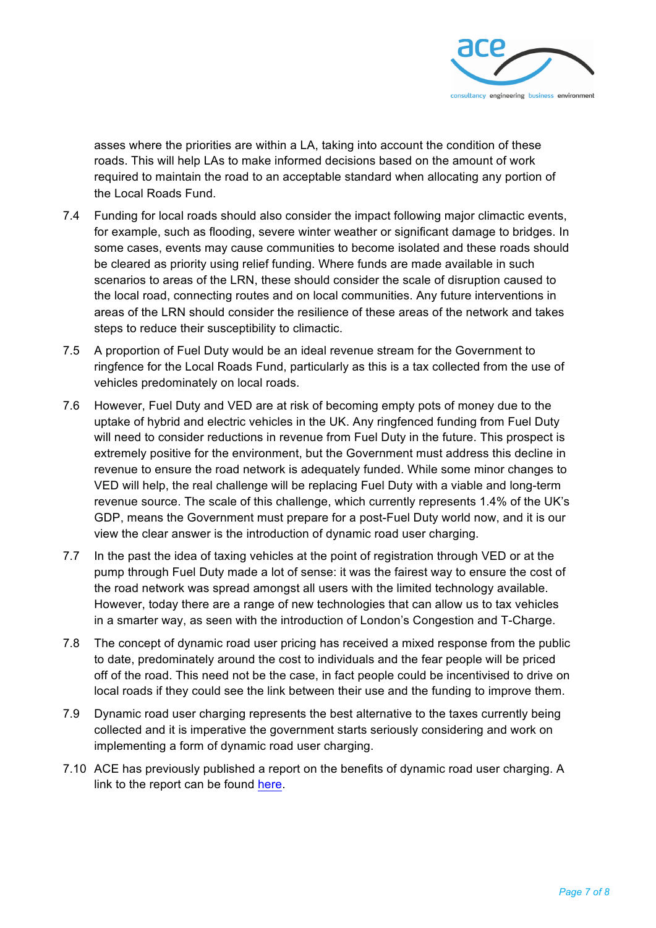

asses where the priorities are within a LA, taking into account the condition of these roads. This will help LAs to make informed decisions based on the amount of work required to maintain the road to an acceptable standard when allocating any portion of the Local Roads Fund.

- 7.4 Funding for local roads should also consider the impact following major climactic events, for example, such as flooding, severe winter weather or significant damage to bridges. In some cases, events may cause communities to become isolated and these roads should be cleared as priority using relief funding. Where funds are made available in such scenarios to areas of the LRN, these should consider the scale of disruption caused to the local road, connecting routes and on local communities. Any future interventions in areas of the LRN should consider the resilience of these areas of the network and takes steps to reduce their susceptibility to climactic.
- 7.5 A proportion of Fuel Duty would be an ideal revenue stream for the Government to ringfence for the Local Roads Fund, particularly as this is a tax collected from the use of vehicles predominately on local roads.
- 7.6 However, Fuel Duty and VED are at risk of becoming empty pots of money due to the uptake of hybrid and electric vehicles in the UK. Any ringfenced funding from Fuel Duty will need to consider reductions in revenue from Fuel Duty in the future. This prospect is extremely positive for the environment, but the Government must address this decline in revenue to ensure the road network is adequately funded. While some minor changes to VED will help, the real challenge will be replacing Fuel Duty with a viable and long-term revenue source. The scale of this challenge, which currently represents 1.4% of the UK's GDP, means the Government must prepare for a post-Fuel Duty world now, and it is our view the clear answer is the introduction of dynamic road user charging.
- 7.7 In the past the idea of taxing vehicles at the point of registration through VED or at the pump through Fuel Duty made a lot of sense: it was the fairest way to ensure the cost of the road network was spread amongst all users with the limited technology available. However, today there are a range of new technologies that can allow us to tax vehicles in a smarter way, as seen with the introduction of London's Congestion and T-Charge.
- 7.8 The concept of dynamic road user pricing has received a mixed response from the public to date, predominately around the cost to individuals and the fear people will be priced off of the road. This need not be the case, in fact people could be incentivised to drive on local roads if they could see the link between their use and the funding to improve them.
- 7.9 Dynamic road user charging represents the best alternative to the taxes currently being collected and it is imperative the government starts seriously considering and work on implementing a form of dynamic road user charging.
- 7.10 ACE has previously published a report on the benefits of dynamic road user charging. A link to the report can be found here.